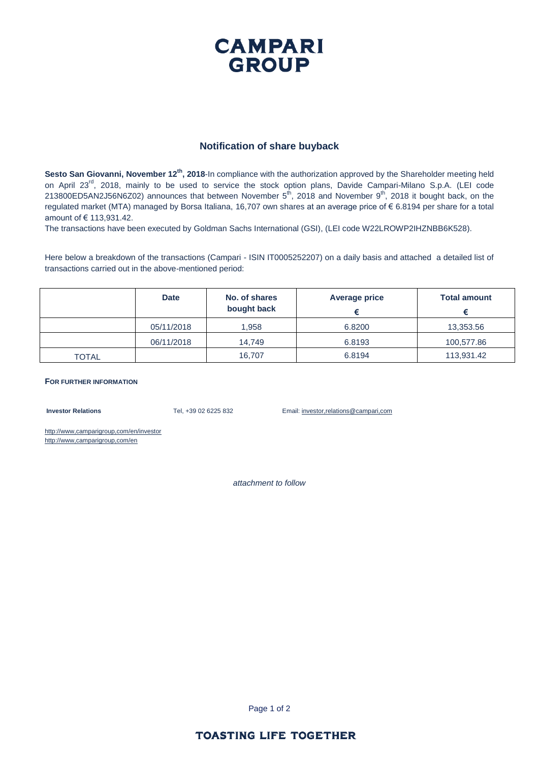## **CAMPARI GROUP**

#### **Notification of share buyback**

**Sesto San Giovanni, November 12th, 2018**-In compliance with the authorization approved by the Shareholder meeting held on April 23<sup>rd</sup>, 2018, mainly to be used to service the stock option plans, Davide Campari-Milano S.p.A. (LEI code 213800ED5AN2J56N6Z02) announces that between November  $5^{th}$ , 2018 and November  $9^{th}$ , 2018 it bought back, on the regulated market (MTA) managed by Borsa Italiana, 16,707 own shares at an average price of € 6.8194 per share for a total amount of € 113,931.42.

The transactions have been executed by Goldman Sachs International (GSI), (LEI code W22LROWP2IHZNBB6K528).

Here below a breakdown of the transactions (Campari - ISIN IT0005252207) on a daily basis and attached a detailed list of transactions carried out in the above-mentioned period:

|       | <b>Date</b> | No. of shares<br>bought back | <b>Average price</b> | <b>Total amount</b> |
|-------|-------------|------------------------------|----------------------|---------------------|
|       | 05/11/2018  | 1,958                        | 6.8200               | 13,353.56           |
|       | 06/11/2018  | 14.749                       | 6.8193               | 100,577.86          |
| TOTAL |             | 16.707                       | 6.8194               | 113,931.42          |

#### **FOR FURTHER INFORMATION**

**Investor Relations** Tel, +39 02 6225 832 Email: investor,relations@campari,com

http://www,camparigroup,com/en/investor http://www,camparigroup,com/en

*attachment to follow*

Page 1 of 2

#### **TOASTING LIFE TOGETHER**